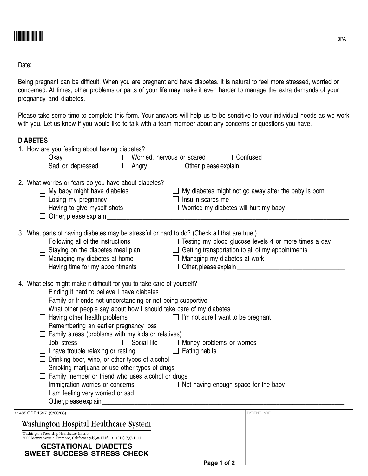

Date:\_\_\_\_\_\_\_\_\_\_\_\_\_\_\_\_

Being pregnant can be difficult. When you are pregnant and have diabetes, it is natural to feel more stressed, worried or concerned. At times, other problems or parts of your life may make it even harder to manage the extra demands of your pregnancy and diabetes.

Please take some time to complete this form. Your answers will help us to be sensitive to your individual needs as we work with you. Let us know if you would like to talk with a team member about any concerns or questions you have.

## **DIABETES**

|                                                                    | 1. How are you feeling about having diabetes?                                                                                                                                                                                  |  |                                                                                                  |                                                                                                       |  |  |
|--------------------------------------------------------------------|--------------------------------------------------------------------------------------------------------------------------------------------------------------------------------------------------------------------------------|--|--------------------------------------------------------------------------------------------------|-------------------------------------------------------------------------------------------------------|--|--|
|                                                                    | $\Box$ Okay                                                                                                                                                                                                                    |  | $\Box$ Worried, nervous or scared $\Box$ Confused                                                |                                                                                                       |  |  |
|                                                                    | $\Box$ Sad or depressed                                                                                                                                                                                                        |  | $\Box$ Angry $\Box$ Other, please explain $\Box$ Angry                                           |                                                                                                       |  |  |
|                                                                    | 2. What worries or fears do you have about diabetes?                                                                                                                                                                           |  |                                                                                                  |                                                                                                       |  |  |
|                                                                    | $\Box$ My baby might have diabetes<br>$\Box$ Losing my pregnancy<br>$\Box$ Having to give myself shots<br>$\Box$ Other, please explain $\Box$                                                                                  |  | $\Box$ My diabetes might not go away after the baby is born                                      |                                                                                                       |  |  |
|                                                                    |                                                                                                                                                                                                                                |  | $\Box$ Insulin scares me                                                                         |                                                                                                       |  |  |
|                                                                    |                                                                                                                                                                                                                                |  |                                                                                                  | $\Box$ Worried my diabetes will hurt my baby                                                          |  |  |
|                                                                    |                                                                                                                                                                                                                                |  |                                                                                                  |                                                                                                       |  |  |
|                                                                    |                                                                                                                                                                                                                                |  |                                                                                                  |                                                                                                       |  |  |
|                                                                    | 3. What parts of having diabetes may be stressful or hard to do? (Check all that are true.)                                                                                                                                    |  |                                                                                                  |                                                                                                       |  |  |
|                                                                    |                                                                                                                                                                                                                                |  |                                                                                                  | $\Box$ Following all of the instructions $\Box$ Testing my blood glucose levels 4 or more times a day |  |  |
|                                                                    | $\Box$ Managing my diabetes at home $\Box$ Managing my diabetes at work<br>$\Box$ Having time for my appointments                                                                                                              |  | $\Box$ Staying on the diabetes meal plan $\Box$ Getting transportation to all of my appointments |                                                                                                       |  |  |
|                                                                    |                                                                                                                                                                                                                                |  |                                                                                                  |                                                                                                       |  |  |
|                                                                    |                                                                                                                                                                                                                                |  |                                                                                                  |                                                                                                       |  |  |
|                                                                    |                                                                                                                                                                                                                                |  |                                                                                                  |                                                                                                       |  |  |
|                                                                    | 4. What else might make it difficult for you to take care of yourself?<br>$\Box$ Finding it hard to believe I have diabetes                                                                                                    |  |                                                                                                  |                                                                                                       |  |  |
|                                                                    |                                                                                                                                                                                                                                |  |                                                                                                  |                                                                                                       |  |  |
|                                                                    | $\Box$ Family or friends not understanding or not being supportive                                                                                                                                                             |  |                                                                                                  |                                                                                                       |  |  |
|                                                                    | $\Box$ What other people say about how I should take care of my diabetes                                                                                                                                                       |  |                                                                                                  |                                                                                                       |  |  |
|                                                                    | $\Box$ Having other health problems                                                                                                                                                                                            |  |                                                                                                  | $\Box$ I'm not sure I want to be pregnant                                                             |  |  |
|                                                                    | $\Box$ Remembering an earlier pregnancy loss                                                                                                                                                                                   |  |                                                                                                  |                                                                                                       |  |  |
|                                                                    | $\Box$ Family stress (problems with my kids or relatives)                                                                                                                                                                      |  |                                                                                                  |                                                                                                       |  |  |
|                                                                    | $\Box$ Job stress                                                                                                                                                                                                              |  |                                                                                                  | $\Box$ Social life $\Box$ Money problems or worries                                                   |  |  |
|                                                                    | $\Box$ I have trouble relaxing or resting                                                                                                                                                                                      |  | $\Box$ Eating habits                                                                             |                                                                                                       |  |  |
|                                                                    | $\Box$ Drinking beer, wine, or other types of alcohol                                                                                                                                                                          |  |                                                                                                  |                                                                                                       |  |  |
|                                                                    | $\Box$ Smoking marijuana or use other types of drugs                                                                                                                                                                           |  |                                                                                                  |                                                                                                       |  |  |
|                                                                    | $\Box$ Family member or friend who uses alcohol or drugs                                                                                                                                                                       |  |                                                                                                  |                                                                                                       |  |  |
|                                                                    | $\Box$ Immigration worries or concerns<br>$\Box$ I am feeling very worried or sad                                                                                                                                              |  | $\Box$ Not having enough space for the baby                                                      |                                                                                                       |  |  |
|                                                                    |                                                                                                                                                                                                                                |  |                                                                                                  |                                                                                                       |  |  |
|                                                                    | Other, please explain example and the contract of the contract of the contract of the contract of the contract of the contract of the contract of the contract of the contract of the contract of the contract of the contract |  |                                                                                                  |                                                                                                       |  |  |
| 11485 ODE 1597 (9/30/08)                                           |                                                                                                                                                                                                                                |  |                                                                                                  | PATIENT LABEL                                                                                         |  |  |
|                                                                    | Washington Hospital Healthcare System                                                                                                                                                                                          |  |                                                                                                  |                                                                                                       |  |  |
| Washington Township Healthcare District                            |                                                                                                                                                                                                                                |  |                                                                                                  |                                                                                                       |  |  |
| 2000 Mowry Avenue, Fremont, California 94538-1716 • (510) 797-1111 |                                                                                                                                                                                                                                |  |                                                                                                  |                                                                                                       |  |  |

**GESTATIONAL DIABETES SWEET SUCCESS STRESS CHECK**